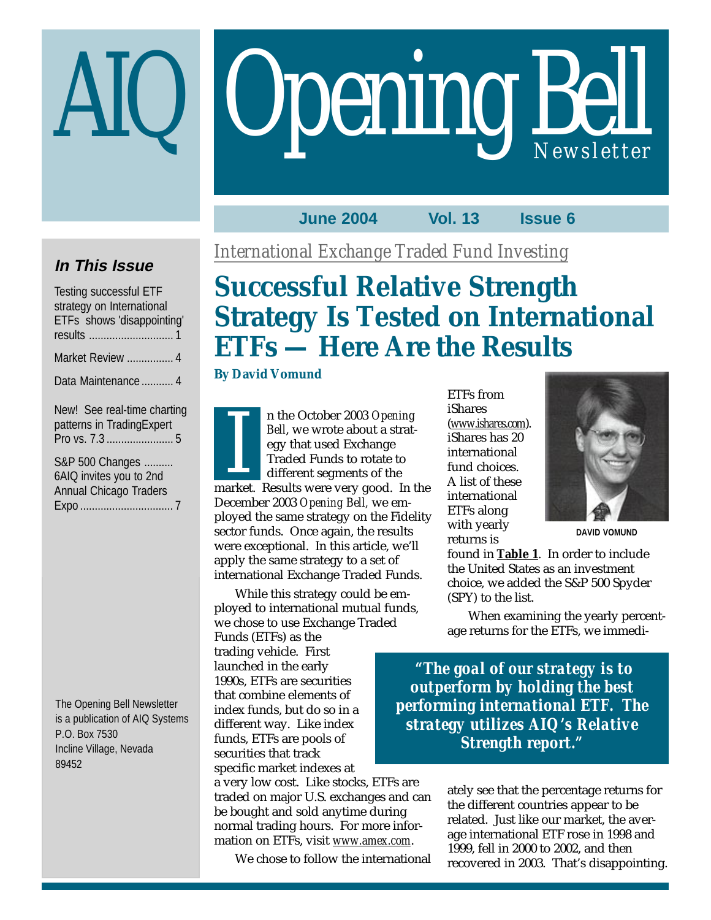# **Opening Bell**

# **June 2004 Vol. 13 Issue 6**

# **In This Issue**

| <b>Testing successful ETF</b>                            |
|----------------------------------------------------------|
| strategy on International                                |
| ETFs shows 'disappointing'                               |
|                                                          |
| Market Review  4                                         |
| Data Maintenance  4                                      |
| New! See real-time charting<br>patterns in TradingExpert |
| S&P 500 Changes                                          |
| 6AIQ invites you to 2nd                                  |
| <b>Annual Chicago Traders</b>                            |

Expo ................................ 7

The Opening Bell Newsletter is a publication of AIQ Systems P.O. Box 7530 Incline Village, Nevada 89452

*International Exchange Traded Fund Investing*

# **Successful Relative Strength Strategy Is Tested on International ETFs — Here Are the Results**

# **By David Vomund**

n the October 2003 *Opening Bell*, we wrote about a strategy that used Exchange Traded Funds to rotate to different segments of the market. Results were very good. In the market. Results were very good. In the December 2003 *Opening Bell,* we employed the same strategy on the Fidelity sector funds. Once again, the results were exceptional. In this article, we'll apply the same strategy to a set of international Exchange Traded Funds.

While this strategy could be employed to international mutual funds, we chose to use Exchange Traded

Funds (ETFs) as the trading vehicle. First launched in the early 1990s, ETFs are securities that combine elements of index funds, but do so in a different way. Like index funds, ETFs are pools of securities that track specific market indexes at

a very low cost. Like stocks, ETFs are traded on major U.S. exchanges and can be bought and sold anytime during normal trading hours. For more information on ETFs, visit *www.amex.com*.

We chose to follow the international

ETFs from iShares (*www.ishares.com*). iShares has 20 international fund choices. A list of these international ETFs along with yearly returns is



**DAVID VOMUND**

found in **Table 1**. In order to include the United States as an investment choice, we added the S&P 500 Spyder (SPY) to the list.

When examining the yearly percentage returns for the ETFs, we immedi-

*"The goal of our strategy is to outperform by holding the best performing international ETF. The strategy utilizes AIQ's Relative Strength report."*

> ately see that the percentage returns for the different countries appear to be related. Just like our market, the average international ETF rose in 1998 and 1999, fell in 2000 to 2002, and then recovered in 2003. That's disappointing.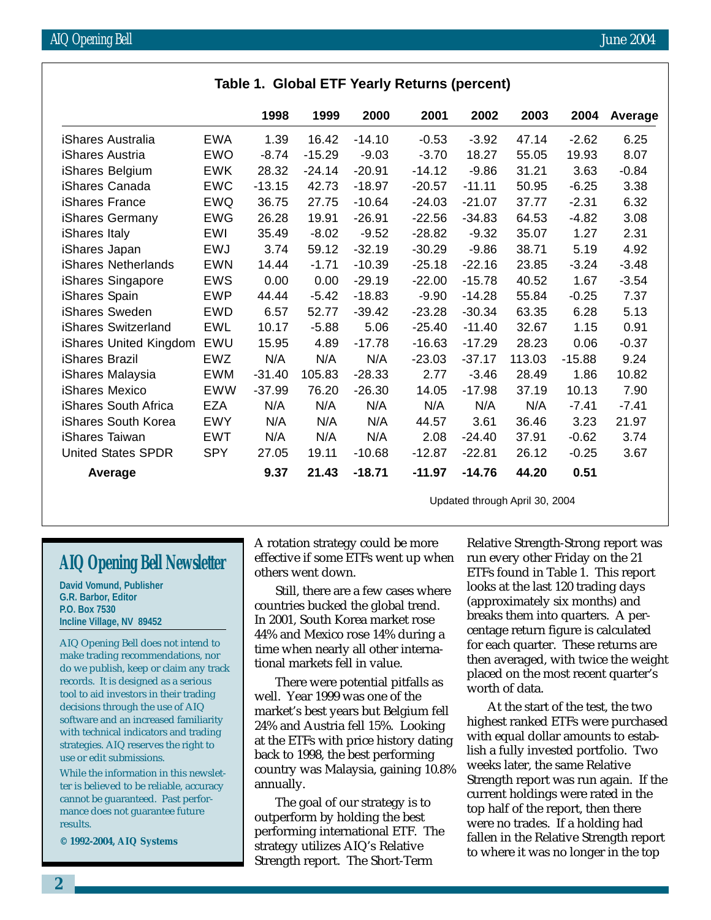|                           |            | 1998     | 1999     | 2000     | 2001     | 2002     | 2003   | 2004     | Average |
|---------------------------|------------|----------|----------|----------|----------|----------|--------|----------|---------|
| iShares Australia         | <b>EWA</b> | 1.39     | 16.42    | $-14.10$ | $-0.53$  | $-3.92$  | 47.14  | $-2.62$  | 6.25    |
| iShares Austria           | <b>EWO</b> | $-8.74$  | $-15.29$ | $-9.03$  | $-3.70$  | 18.27    | 55.05  | 19.93    | 8.07    |
| iShares Belgium           | <b>EWK</b> | 28.32    | $-24.14$ | $-20.91$ | $-14.12$ | $-9.86$  | 31.21  | 3.63     | $-0.84$ |
| iShares Canada            | <b>EWC</b> | $-13.15$ | 42.73    | $-18.97$ | $-20.57$ | $-11.11$ | 50.95  | $-6.25$  | 3.38    |
| iShares France            | <b>EWQ</b> | 36.75    | 27.75    | $-10.64$ | $-24.03$ | $-21.07$ | 37.77  | $-2.31$  | 6.32    |
| iShares Germany           | <b>EWG</b> | 26.28    | 19.91    | $-26.91$ | $-22.56$ | $-34.83$ | 64.53  | $-4.82$  | 3.08    |
| iShares Italy             | EWI        | 35.49    | $-8.02$  | $-9.52$  | $-28.82$ | $-9.32$  | 35.07  | 1.27     | 2.31    |
| iShares Japan             | EWJ        | 3.74     | 59.12    | $-32.19$ | $-30.29$ | $-9.86$  | 38.71  | 5.19     | 4.92    |
| iShares Netherlands       | <b>EWN</b> | 14.44    | $-1.71$  | $-10.39$ | $-25.18$ | $-22.16$ | 23.85  | $-3.24$  | $-3.48$ |
| iShares Singapore         | <b>EWS</b> | 0.00     | 0.00     | $-29.19$ | $-22.00$ | $-15.78$ | 40.52  | 1.67     | $-3.54$ |
| iShares Spain             | <b>EWP</b> | 44.44    | $-5.42$  | $-18.83$ | $-9.90$  | -14.28   | 55.84  | $-0.25$  | 7.37    |
| iShares Sweden            | EWD        | 6.57     | 52.77    | $-39.42$ | $-23.28$ | $-30.34$ | 63.35  | 6.28     | 5.13    |
| iShares Switzerland       | <b>EWL</b> | 10.17    | $-5.88$  | 5.06     | $-25.40$ | $-11.40$ | 32.67  | 1.15     | 0.91    |
| iShares United Kingdom    | EWU        | 15.95    | 4.89     | $-17.78$ | $-16.63$ | $-17.29$ | 28.23  | 0.06     | $-0.37$ |
| iShares Brazil            | EWZ        | N/A      | N/A      | N/A      | $-23.03$ | $-37.17$ | 113.03 | $-15.88$ | 9.24    |
| iShares Malaysia          | EWM        | $-31.40$ | 105.83   | $-28.33$ | 2.77     | $-3.46$  | 28.49  | 1.86     | 10.82   |
| iShares Mexico            | EWW        | $-37.99$ | 76.20    | $-26.30$ | 14.05    | $-17.98$ | 37.19  | 10.13    | 7.90    |
| iShares South Africa      | <b>EZA</b> | N/A      | N/A      | N/A      | N/A      | N/A      | N/A    | $-7.41$  | $-7.41$ |
| iShares South Korea       | <b>EWY</b> | N/A      | N/A      | N/A      | 44.57    | 3.61     | 36.46  | 3.23     | 21.97   |
| iShares Taiwan            | <b>EWT</b> | N/A      | N/A      | N/A      | 2.08     | $-24.40$ | 37.91  | $-0.62$  | 3.74    |
| <b>United States SPDR</b> | <b>SPY</b> | 27.05    | 19.11    | $-10.68$ | $-12.87$ | $-22.81$ | 26.12  | $-0.25$  | 3.67    |
| Average                   |            | 9.37     | 21.43    | $-18.71$ | $-11.97$ | $-14.76$ | 44.20  | 0.51     |         |

### **Table 1. Global ETF Yearly Returns (percent)**

Updated through April 30, 2004

# **AIQ Opening Bell Newsletter**

**David Vomund, Publisher G.R. Barbor, Editor P.O. Box 7530 Incline Village, NV 89452**

AIQ Opening Bell does not intend to make trading recommendations, nor do we publish, keep or claim any track records. It is designed as a serious tool to aid investors in their trading decisions through the use of AIQ software and an increased familiarity with technical indicators and trading strategies. AIQ reserves the right to use or edit submissions.

While the information in this newsletter is believed to be reliable, accuracy cannot be guaranteed. Past performance does not guarantee future results.

**© 1992-2004, AIQ Systems**

A rotation strategy could be more effective if some ETFs went up when others went down.

Still, there are a few cases where countries bucked the global trend. In 2001, South Korea market rose 44% and Mexico rose 14% during a time when nearly all other international markets fell in value.

There were potential pitfalls as well. Year 1999 was one of the market's best years but Belgium fell 24% and Austria fell 15%. Looking at the ETFs with price history dating back to 1998, the best performing country was Malaysia, gaining 10.8% annually.

The goal of our strategy is to outperform by holding the best performing international ETF. The strategy utilizes AIQ's Relative Strength report. The Short-Term

Relative Strength-Strong report was run every other Friday on the 21 ETFs found in Table 1. This report looks at the last 120 trading days (approximately six months) and breaks them into quarters. A percentage return figure is calculated for each quarter. These returns are then averaged, with twice the weight placed on the most recent quarter's worth of data.

At the start of the test, the two highest ranked ETFs were purchased with equal dollar amounts to establish a fully invested portfolio. Two weeks later, the same Relative Strength report was run again. If the current holdings were rated in the top half of the report, then there were no trades. If a holding had fallen in the Relative Strength report to where it was no longer in the top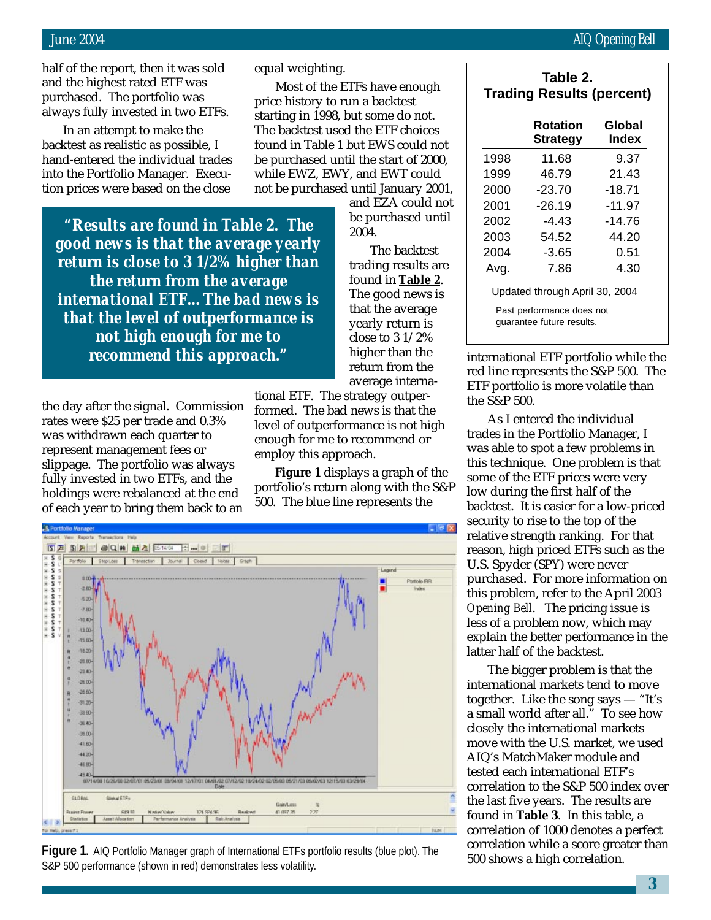half of the report, then it was sold and the highest rated ETF was purchased. The portfolio was always fully invested in two ETFs.

In an attempt to make the backtest as realistic as possible, I hand-entered the individual trades into the Portfolio Manager. Execution prices were based on the close

*"Results are found in Table 2. The good news is that the average yearly return is close to 3 1/2% higher than the return from the average international ETF…The bad news is that the level of outperformance is not high enough for me to recommend this approach."*

the day after the signal. Commission rates were \$25 per trade and 0.3% was withdrawn each quarter to represent management fees or slippage. The portfolio was always fully invested in two ETFs, and the holdings were rebalanced at the end of each year to bring them back to an

equal weighting.

Most of the ETFs have enough price history to run a backtest starting in 1998, but some do not. The backtest used the ETF choices found in Table 1 but EWS could not be purchased until the start of 2000, while EWZ, EWY, and EWT could not be purchased until January 2001,

> and EZA could not be purchased until 2004.

The backtest trading results are found in **Table 2**. The good news is that the average yearly return is close to 3 1/2% higher than the return from the average interna-

tional ETF. The strategy outperformed. The bad news is that the level of outperformance is not high enough for me to recommend or employ this approach.

**Figure 1** displays a graph of the portfolio's return along with the S&P 500. The blue line represents the



**Figure 1.** AIQ Portfolio Manager graph of International ETFs portfolio results (blue plot). The S&P 500 performance (shown in red) demonstrates less volatility.

| Table 2. |  |                           |  |  |  |
|----------|--|---------------------------|--|--|--|
|          |  | Trading Results (percent) |  |  |  |

|      | <b>Rotation</b><br><b>Strategy</b> | Global<br>Index |
|------|------------------------------------|-----------------|
| 1998 | 11.68                              | 9.37            |
| 1999 | 46.79                              | 21.43           |
| 2000 | -23.70                             | $-18.71$        |
| 2001 | $-26.19$                           | $-11.97$        |
| 2002 | -4.43                              | $-14.76$        |
| 2003 | 54.52                              | 44.20           |
| 2004 | $-3.65$                            | 0.51            |
| Avg. | 7.86                               | 4.30            |

Updated through April 30, 2004

Past performance does not guarantee future results.

international ETF portfolio while the red line represents the S&P 500. The ETF portfolio is more volatile than the S&P 500.

As I entered the individual trades in the Portfolio Manager, I was able to spot a few problems in this technique. One problem is that some of the ETF prices were very low during the first half of the backtest. It is easier for a low-priced security to rise to the top of the relative strength ranking. For that reason, high priced ETFs such as the U.S. Spyder (SPY) were never purchased. For more information on this problem, refer to the April 2003 *Opening Bell*. The pricing issue is less of a problem now, which may explain the better performance in the latter half of the backtest.

The bigger problem is that the international markets tend to move together. Like the song says — "It's a small world after all." To see how closely the international markets move with the U.S. market, we used AIQ's MatchMaker module and tested each international ETF's correlation to the S&P 500 index over the last five years. The results are found in **Table 3**. In this table, a correlation of 1000 denotes a perfect correlation while a score greater than 500 shows a high correlation.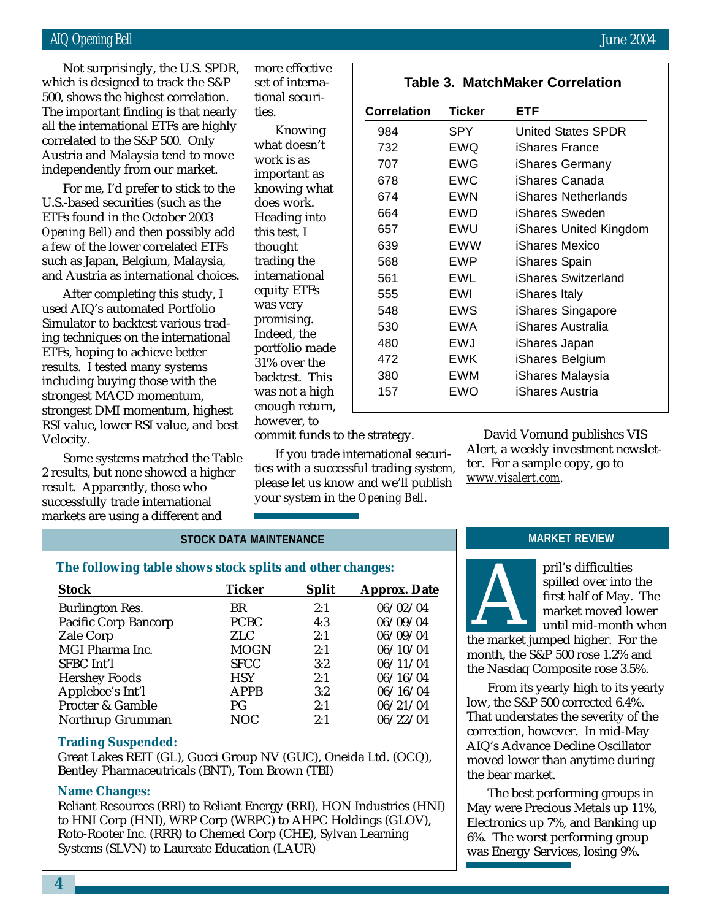# AIQ Opening Bell June 2004

The important finding is that nearly Not surprisingly, the U.S. SPDR, which is designed to track the S&P 500, shows the highest correlation. all the international ETFs are highly correlated to the S&P 500. Only Austria and Malaysia tend to move independently from our market.

For me, I'd prefer to stick to the U.S.-based securities (such as the ETFs found in the October 2003 *Opening Bell*) and then possibly add a few of the lower correlated ETFs such as Japan, Belgium, Malaysia, and Austria as international choices.

After completing this study, I used AIQ's automated Portfolio Simulator to backtest various trading techniques on the international ETFs, hoping to achieve better results. I tested many systems including buying those with the strongest MACD momentum, strongest DMI momentum, highest RSI value, lower RSI value, and best Velocity.

Some systems matched the Table 2 results, but none showed a higher result. Apparently, those who successfully trade international markets are using a different and

more effective set of international securities.

Knowing what doesn't work is as important as knowing what does work. Heading into this test, I thought trading the international equity ETFs was very promising. Indeed, the portfolio made 31% over the backtest. This was not a high enough return, however, to

| Correlation | <b>Ticker</b> | ETF                    |
|-------------|---------------|------------------------|
| 984         | SPY           | United States SPDR     |
| 732         | EWQ           | iShares France         |
| 707         | EWG           | iShares Germany        |
| 678         | EWC           | iShares Canada         |
| 674         | EWN           | iShares Netherlands    |
| 664         | EWD           | iShares Sweden         |
| 657         | EWU           | iShares United Kingdom |
| 639         | <b>FWW</b>    | iShares Mexico         |
| 568         | FWP           | iShares Spain          |
| 561         | FWI           | iShares Switzerland    |
| 555         | EWI           | iShares Italy          |
| 548         | EWS           | iShares Singapore      |
| 530         | EWA           | iShares Australia      |
| 480         | EWJ           | iShares Japan          |
| 472         | EWK           | iShares Belgium        |
| 380         | EWM           | iShares Malaysia       |
| 157         | EWO           | iShares Austria        |

**Table 3. MatchMaker Correlation**

commit funds to the strategy.

If you trade international securities with a successful trading system, please let us know and we'll publish your system in the *Opening Bell*.

David Vomund publishes VIS Alert, a weekly investment newsletter. For a sample copy, go to *www.visalert.com.*

### **STOCK DATA MAINTENANCE**

# **The following table shows stock splits and other changes:**

| <b>Stock</b>           | <b>Ticker</b> | <b>Split</b> | <b>Approx. Date</b> |
|------------------------|---------------|--------------|---------------------|
| <b>Burlington Res.</b> | BR            | 2:1          | 06/02/04            |
| Pacific Corp Bancorp   | <b>PCBC</b>   | 4:3          | 06/09/04            |
| Zale Corp              | <b>ZLC</b>    | 2:1          | 06/09/04            |
| MGI Pharma Inc.        | <b>MOGN</b>   | 2:1          | 06/10/04            |
| SFBC Int'l             | <b>SFCC</b>   | 3:2          | 06/11/04            |
| <b>Hershey Foods</b>   | <b>HSY</b>    | 2:1          | 06/16/04            |
| Applebee's Int'l       | <b>APPB</b>   | 3:2          | 06/16/04            |
| Procter & Gamble       | PG            | 2:1          | 06/21/04            |
| Northrup Grumman       | <b>NOC</b>    | 2:1          | 06/22/04            |

### **Trading Suspended:**

Great Lakes REIT (GL), Gucci Group NV (GUC), Oneida Ltd. (OCQ), Bentley Pharmaceutricals (BNT), Tom Brown (TBI)

## **Name Changes:**

Reliant Resources (RRI) to Reliant Energy (RRI), HON Industries (HNI) to HNI Corp (HNI), WRP Corp (WRPC) to AHPC Holdings (GLOV), Roto-Rooter Inc. (RRR) to Chemed Corp (CHE), Sylvan Learning Systems (SLVN) to Laureate Education (LAUR)

### **MARKET REVIEW**

pril's difficulties spilled over into the first half of May. The market moved lower until mid-month when pin 5 differences<br>spilled over into the<br>first half of May. The<br>market moved lower<br>until mid-month whe<br>the market jumped higher. For the

month, the S&P 500 rose 1.2% and the Nasdaq Composite rose 3.5%.

From its yearly high to its yearly low, the S&P 500 corrected 6.4%. That understates the severity of the correction, however. In mid-May AIQ's Advance Decline Oscillator moved lower than anytime during the bear market.

The best performing groups in May were Precious Metals up 11%, Electronics up 7%, and Banking up 6%. The worst performing group was Energy Services, losing 9%.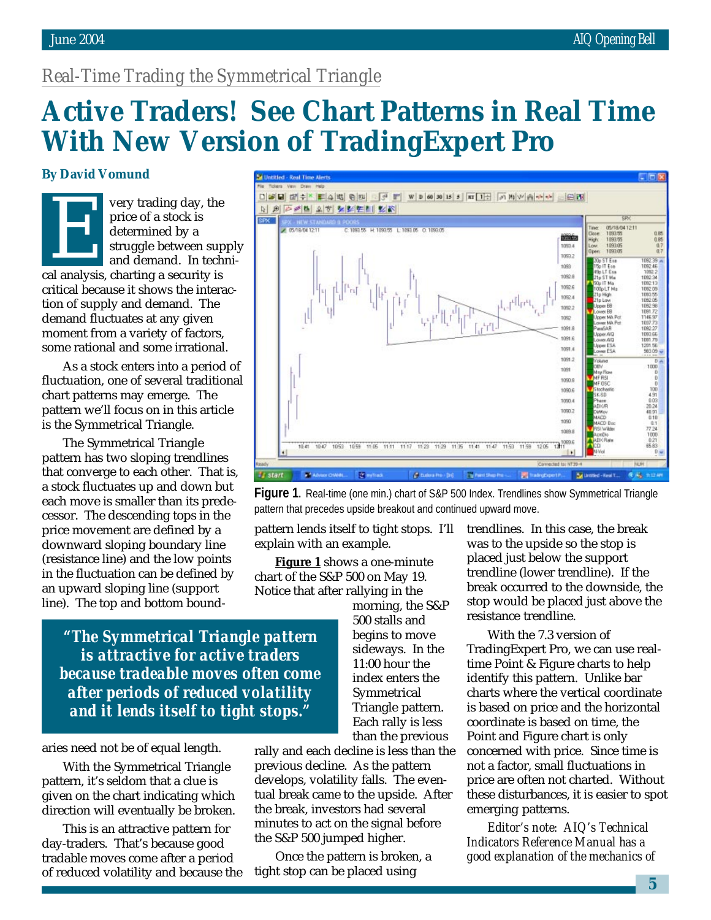# *Real-Time Trading the Symmetrical Triangle*

# **Active Traders! See Chart Patterns in Real Time With New Version of TradingExpert Pro**

# **By David Vomund**

**EXECUTE VERGEND VERY trading day, the**<br>
price of a stock is<br>
determined by a<br>
struggle between sup<br>
and demand. In tech<br>
cal analysis, charting a security is price of a stock is determined by a struggle between supply and demand. In technicritical because it shows the interaction of supply and demand. The demand fluctuates at any given moment from a variety of factors, some rational and some irrational.

As a stock enters into a period of fluctuation, one of several traditional chart patterns may emerge. The pattern we'll focus on in this article is the Symmetrical Triangle.

The Symmetrical Triangle pattern has two sloping trendlines that converge to each other. That is, a stock fluctuates up and down but each move is smaller than its predecessor. The descending tops in the price movement are defined by a downward sloping boundary line (resistance line) and the low points in the fluctuation can be defined by an upward sloping line (support line). The top and bottom bound-

**CLES** SECTION - EQUE ON C F F WD ON B S TT IT A MWARN CON 西利西 刘列 张圣生刚 经额 .<br>Martin 121 1時<br>1時<br>07<br>07 093.4 1093.2  $h$  ST F<sub>at</sub> **IRC 39 a** 1092.39<br>1092.46<br>1092.34<br>1092.13<br>1093.09 1093 toko a 1092.6 1092.4  $10022$ 1092 146.57 1107.73<br>1097.73<br>1093.66<br>1091.79<br>1201.56<br>983.09 a reo 1091.6 1091.4  $1091.2$  $1000$  $1091$ 1090.8 1090.6 1090.4 1090.2 818 81<br>77 24<br>77 1000 21<br>65 63 1090 1089.8  $90.47$ 1053 1058 11:05 11:11 11:17 11:23 11:29 11:35 11:41 1147 1153 1159 If start | Chancrown. **B** in free **Chairman Fig. had this h Witnesser** 

**Figure 1.** Real-time (one min.) chart of S&P 500 Index. Trendlines show Symmetrical Triangle pattern that precedes upside breakout and continued upward move.

pattern lends itself to tight stops. I'll explain with an example.

**Figure 1** shows a one-minute chart of the S&P 500 on May 19. Notice that after rallying in the

*"The Symmetrical Triangle pattern is attractive for active traders because tradeable moves often come after periods of reduced volatility and it lends itself to tight stops."*

aries need not be of equal length.

With the Symmetrical Triangle pattern, it's seldom that a clue is given on the chart indicating which direction will eventually be broken.

This is an attractive pattern for day-traders. That's because good tradable moves come after a period of reduced volatility and because the rally and each decline is less than the previous decline. As the pattern develops, volatility falls. The eventual break came to the upside. After the break, investors had several minutes to act on the signal before the S&P 500 jumped higher.

Once the pattern is broken, a tight stop can be placed using

trendlines. In this case, the break was to the upside so the stop is placed just below the support trendline (lower trendline). If the break occurred to the downside, the stop would be placed just above the resistance trendline.

With the 7.3 version of TradingExpert Pro, we can use realtime Point & Figure charts to help identify this pattern. Unlike bar charts where the vertical coordinate is based on price and the horizontal coordinate is based on time, the Point and Figure chart is only concerned with price. Since time is not a factor, small fluctuations in price are often not charted. Without these disturbances, it is easier to spot emerging patterns.

*Editor's note: AIQ's Technical Indicators Reference Manual has a good explanation of the mechanics of*

morning, the S&P 500 stalls and begins to move sideways. In the 11:00 hour the index enters the Symmetrical

> Triangle pattern. Each rally is less than the previous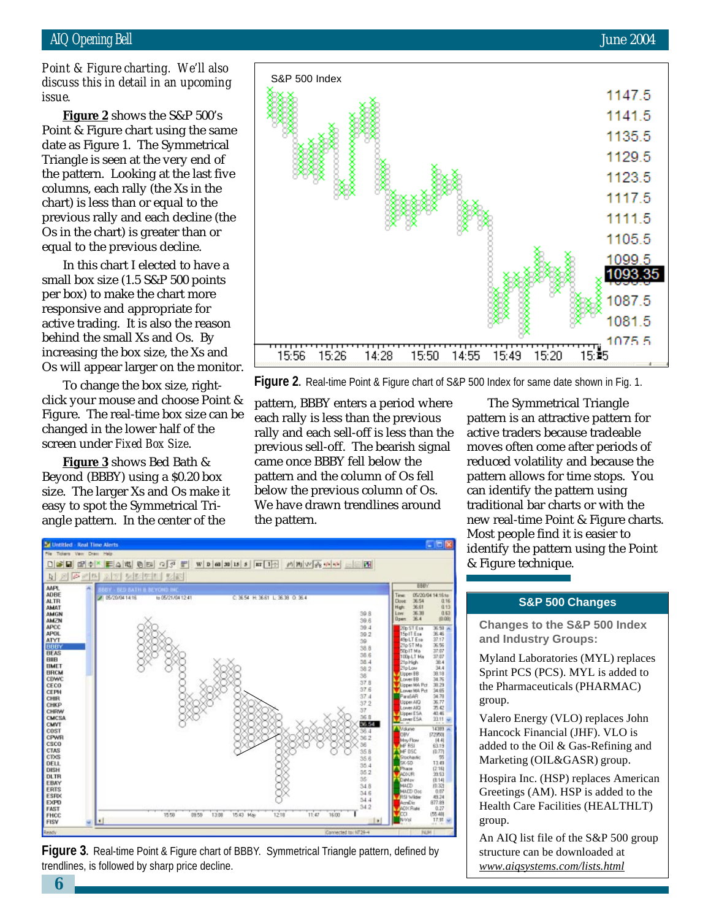*Point & Figure charting. We'll also discuss this in detail in an upcoming issue.*

**<u>Figure 2</u> shows the S&P 500's** Point & Figure chart using the same date as Figure 1. The Symmetrical Triangle is seen at the very end of the pattern. Looking at the last five columns, each rally (the Xs in the chart) is less than or equal to the previous rally and each decline (the Os in the chart) is greater than or equal to the previous decline.

In this chart I elected to have a small box size (1.5 S&P 500 points per box) to make the chart more responsive and appropriate for active trading. It is also the reason behind the small Xs and Os. By increasing the box size, the Xs and Os will appear larger on the monitor.

To change the box size, rightclick your mouse and choose Point & Figure. The real-time box size can be changed in the lower half of the screen under *Fixed Box Size*.

**Figure 3** shows Bed Bath & Beyond (BBBY) using a \$0.20 box size. The larger Xs and Os make it easy to spot the Symmetrical Triangle pattern. In the center of the



**Figure 2.** Real-time Point & Figure chart of S&P 500 Index for same date shown in Fig. 1.

pattern, BBBY enters a period where each rally is less than the previous rally and each sell-off is less than the previous sell-off. The bearish signal came once BBBY fell below the pattern and the column of Os fell below the previous column of Os. We have drawn trendlines around the pattern.

The Symmetrical Triangle pattern is an attractive pattern for active traders because tradeable moves often come after periods of reduced volatility and because the pattern allows for time stops. You can identify the pattern using traditional bar charts or with the new real-time Point & Figure charts. Most people find it is easier to identify the pattern using the Point & Figure technique.





# **S&P 500 Changes**

**Changes to the S&P 500 Index and Industry Groups:**

Myland Laboratories (MYL) replaces Sprint PCS (PCS). MYL is added to the Pharmaceuticals (PHARMAC) group.

Valero Energy (VLO) replaces John Hancock Financial (JHF). VLO is added to the Oil & Gas-Refining and Marketing (OIL&GASR) group.

Hospira Inc. (HSP) replaces American Greetings (AM). HSP is added to the Health Care Facilities (HEALTHLT) group.

An AIQ list file of the S&P 500 group structure can be downloaded at *www.aiqsystems.com/lists.html*